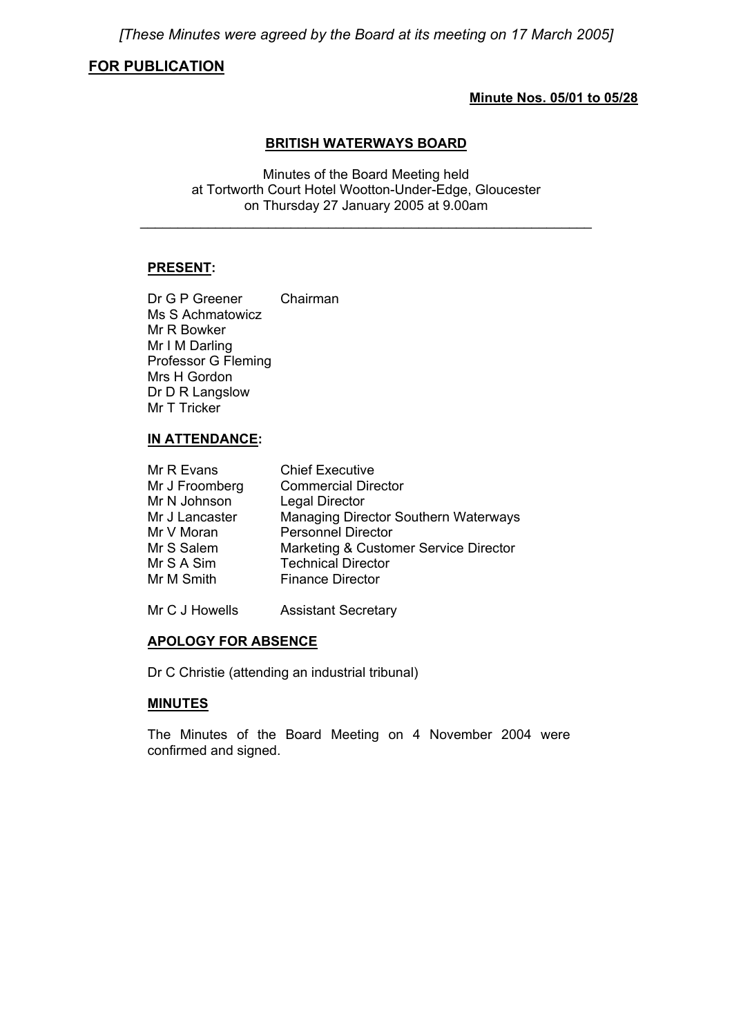*[These Minutes were agreed by the Board at its meeting on 17 March 2005]* 

# **FOR PUBLICATION**

## **Minute Nos. 05/01 to 05/28**

### **BRITISH WATERWAYS BOARD**

Minutes of the Board Meeting held at Tortworth Court Hotel Wootton-Under-Edge, Gloucester on Thursday 27 January 2005 at 9.00am

\_\_\_\_\_\_\_\_\_\_\_\_\_\_\_\_\_\_\_\_\_\_\_\_\_\_\_\_\_\_\_\_\_\_\_\_\_\_\_\_\_\_\_\_\_\_\_\_\_\_\_\_\_\_\_\_\_\_\_\_

# **PRESENT:**

Dr G P Greener Chairman Ms S Achmatowicz Mr R Bowker Mr I M Darling Professor G Fleming Mrs H Gordon Dr D R Langslow Mr T Tricker

# **IN ATTENDANCE:**

| Mr R Evans     | <b>Chief Executive</b>                |
|----------------|---------------------------------------|
| Mr J Froomberg | <b>Commercial Director</b>            |
| Mr N Johnson   | <b>Legal Director</b>                 |
| Mr J Lancaster | Managing Director Southern Waterways  |
| Mr V Moran     | <b>Personnel Director</b>             |
| Mr S Salem     | Marketing & Customer Service Director |
| Mr S A Sim     | <b>Technical Director</b>             |
| Mr M Smith     | <b>Finance Director</b>               |
|                |                                       |

Mr C J Howells Assistant Secretary

# **APOLOGY FOR ABSENCE**

Dr C Christie (attending an industrial tribunal)

# **MINUTES**

 The Minutes of the Board Meeting on 4 November 2004 were confirmed and signed.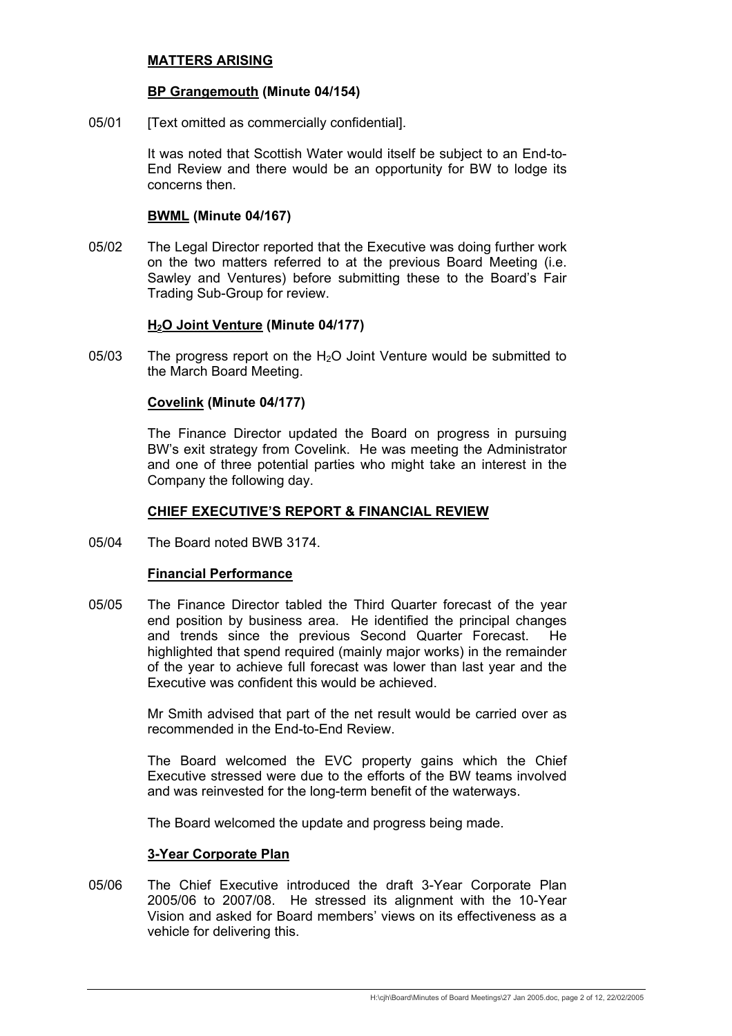## **MATTERS ARISING**

#### **BP Grangemouth (Minute 04/154)**

05/01 [Text omitted as commercially confidential].

 It was noted that Scottish Water would itself be subject to an End-to-End Review and there would be an opportunity for BW to lodge its concerns then.

#### **BWML (Minute 04/167)**

05/02 The Legal Director reported that the Executive was doing further work on the two matters referred to at the previous Board Meeting (i.e. Sawley and Ventures) before submitting these to the Board's Fair Trading Sub-Group for review.

#### **H2O Joint Venture (Minute 04/177)**

05/03 The progress report on the  $H<sub>2</sub>O$  Joint Venture would be submitted to the March Board Meeting.

#### **Covelink (Minute 04/177)**

 The Finance Director updated the Board on progress in pursuing BW's exit strategy from Covelink. He was meeting the Administrator and one of three potential parties who might take an interest in the Company the following day.

#### **CHIEF EXECUTIVE'S REPORT & FINANCIAL REVIEW**

05/04 The Board noted BWB 3174.

#### **Financial Performance**

05/05 The Finance Director tabled the Third Quarter forecast of the year end position by business area. He identified the principal changes and trends since the previous Second Quarter Forecast. He highlighted that spend required (mainly major works) in the remainder of the year to achieve full forecast was lower than last year and the Executive was confident this would be achieved.

> Mr Smith advised that part of the net result would be carried over as recommended in the End-to-End Review.

> The Board welcomed the EVC property gains which the Chief Executive stressed were due to the efforts of the BW teams involved and was reinvested for the long-term benefit of the waterways.

The Board welcomed the update and progress being made.

#### **3-Year Corporate Plan**

05/06 The Chief Executive introduced the draft 3-Year Corporate Plan 2005/06 to 2007/08. He stressed its alignment with the 10-Year Vision and asked for Board members' views on its effectiveness as a vehicle for delivering this.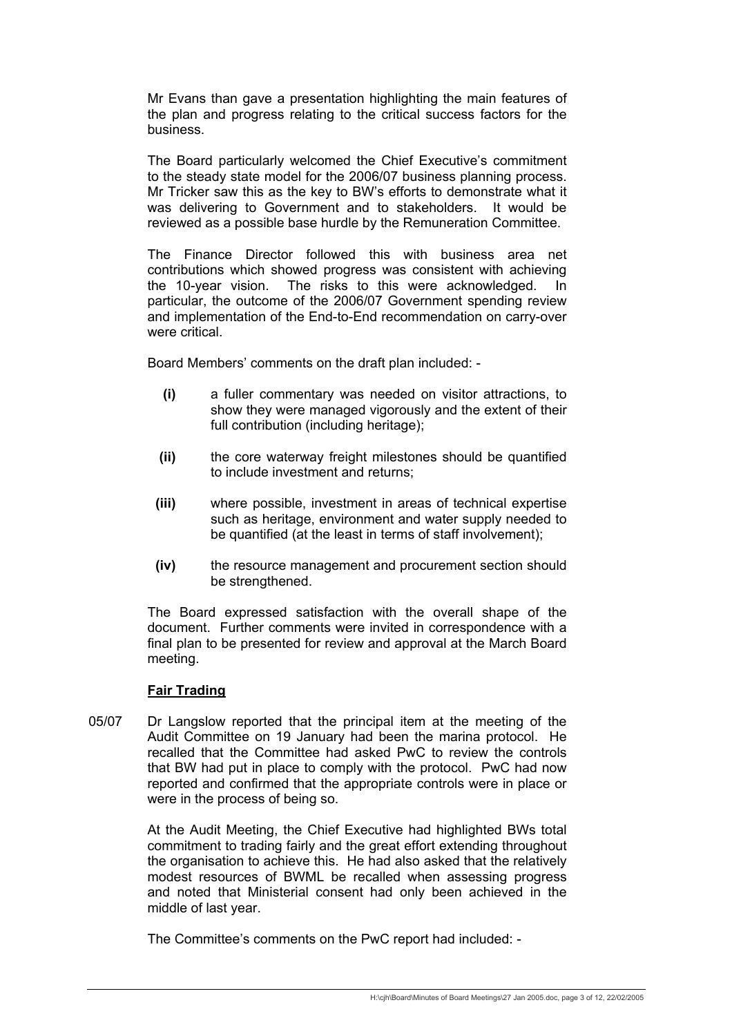Mr Evans than gave a presentation highlighting the main features of the plan and progress relating to the critical success factors for the business.

 The Board particularly welcomed the Chief Executive's commitment to the steady state model for the 2006/07 business planning process. Mr Tricker saw this as the key to BW's efforts to demonstrate what it was delivering to Government and to stakeholders. It would be reviewed as a possible base hurdle by the Remuneration Committee.

 The Finance Director followed this with business area net contributions which showed progress was consistent with achieving the 10-year vision. The risks to this were acknowledged. In particular, the outcome of the 2006/07 Government spending review and implementation of the End-to-End recommendation on carry-over were critical

Board Members' comments on the draft plan included: -

- **(i)** a fuller commentary was needed on visitor attractions, to show they were managed vigorously and the extent of their full contribution (including heritage);
- **(ii)** the core waterway freight milestones should be quantified to include investment and returns;
- **(iii)** where possible, investment in areas of technical expertise such as heritage, environment and water supply needed to be quantified (at the least in terms of staff involvement);
- **(iv)** the resource management and procurement section should be strengthened.

 The Board expressed satisfaction with the overall shape of the document. Further comments were invited in correspondence with a final plan to be presented for review and approval at the March Board meeting.

# **Fair Trading**

05/07 Dr Langslow reported that the principal item at the meeting of the Audit Committee on 19 January had been the marina protocol. He recalled that the Committee had asked PwC to review the controls that BW had put in place to comply with the protocol. PwC had now reported and confirmed that the appropriate controls were in place or were in the process of being so.

> At the Audit Meeting, the Chief Executive had highlighted BWs total commitment to trading fairly and the great effort extending throughout the organisation to achieve this. He had also asked that the relatively modest resources of BWML be recalled when assessing progress and noted that Ministerial consent had only been achieved in the middle of last year.

The Committee's comments on the PwC report had included: -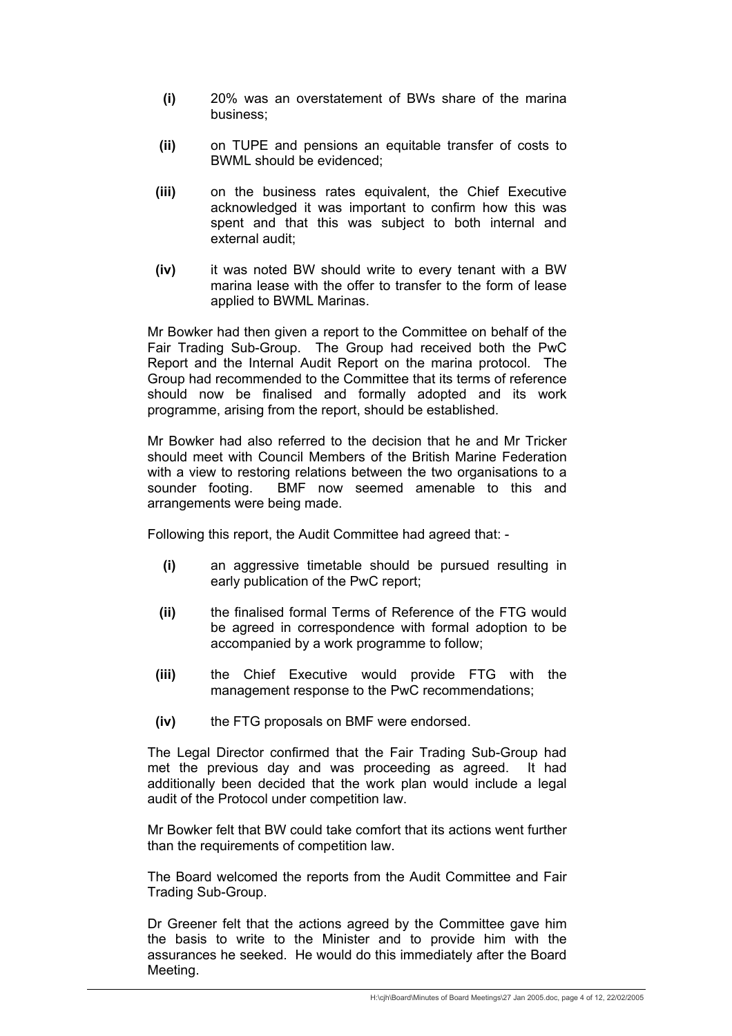- **(i)** 20% was an overstatement of BWs share of the marina business;
- **(ii)** on TUPE and pensions an equitable transfer of costs to BWML should be evidenced;
- **(iii)** on the business rates equivalent, the Chief Executive acknowledged it was important to confirm how this was spent and that this was subject to both internal and external audit;
- **(iv)** it was noted BW should write to every tenant with a BW marina lease with the offer to transfer to the form of lease applied to BWML Marinas.

 Mr Bowker had then given a report to the Committee on behalf of the Fair Trading Sub-Group. The Group had received both the PwC Report and the Internal Audit Report on the marina protocol. The Group had recommended to the Committee that its terms of reference should now be finalised and formally adopted and its work programme, arising from the report, should be established.

 Mr Bowker had also referred to the decision that he and Mr Tricker should meet with Council Members of the British Marine Federation with a view to restoring relations between the two organisations to a sounder footing. BMF now seemed amenable to this and arrangements were being made.

Following this report, the Audit Committee had agreed that: -

- **(i)** an aggressive timetable should be pursued resulting in early publication of the PwC report;
- **(ii)** the finalised formal Terms of Reference of the FTG would be agreed in correspondence with formal adoption to be accompanied by a work programme to follow;
- **(iii)** the Chief Executive would provide FTG with the management response to the PwC recommendations;
- **(iv)** the FTG proposals on BMF were endorsed.

 The Legal Director confirmed that the Fair Trading Sub-Group had met the previous day and was proceeding as agreed. It had additionally been decided that the work plan would include a legal audit of the Protocol under competition law.

 Mr Bowker felt that BW could take comfort that its actions went further than the requirements of competition law.

 The Board welcomed the reports from the Audit Committee and Fair Trading Sub-Group.

 Dr Greener felt that the actions agreed by the Committee gave him the basis to write to the Minister and to provide him with the assurances he seeked. He would do this immediately after the Board Meeting.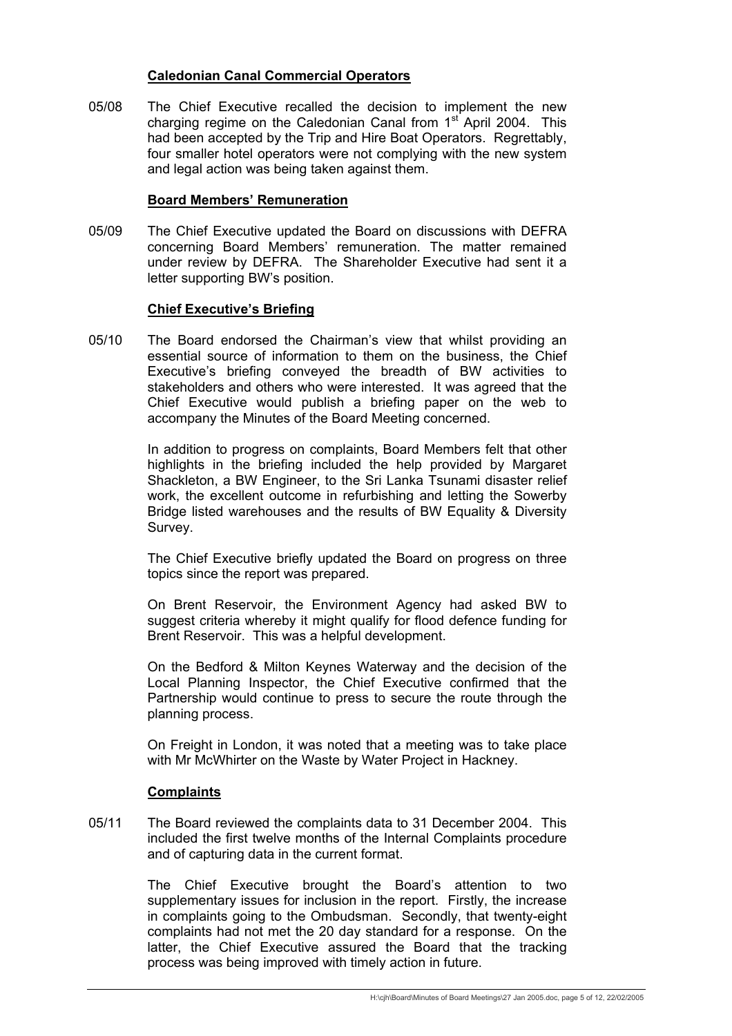### **Caledonian Canal Commercial Operators**

05/08 The Chief Executive recalled the decision to implement the new charging regime on the Caledonian Canal from  $1<sup>st</sup>$  April 2004. This had been accepted by the Trip and Hire Boat Operators. Regrettably, four smaller hotel operators were not complying with the new system and legal action was being taken against them.

### **Board Members' Remuneration**

05/09 The Chief Executive updated the Board on discussions with DEFRA concerning Board Members' remuneration. The matter remained under review by DEFRA. The Shareholder Executive had sent it a letter supporting BW's position.

### **Chief Executive's Briefing**

05/10 The Board endorsed the Chairman's view that whilst providing an essential source of information to them on the business, the Chief Executive's briefing conveyed the breadth of BW activities to stakeholders and others who were interested. It was agreed that the Chief Executive would publish a briefing paper on the web to accompany the Minutes of the Board Meeting concerned.

> In addition to progress on complaints, Board Members felt that other highlights in the briefing included the help provided by Margaret Shackleton, a BW Engineer, to the Sri Lanka Tsunami disaster relief work, the excellent outcome in refurbishing and letting the Sowerby Bridge listed warehouses and the results of BW Equality & Diversity Survey.

> The Chief Executive briefly updated the Board on progress on three topics since the report was prepared.

> On Brent Reservoir, the Environment Agency had asked BW to suggest criteria whereby it might qualify for flood defence funding for Brent Reservoir. This was a helpful development.

> On the Bedford & Milton Keynes Waterway and the decision of the Local Planning Inspector, the Chief Executive confirmed that the Partnership would continue to press to secure the route through the planning process.

> On Freight in London, it was noted that a meeting was to take place with Mr McWhirter on the Waste by Water Project in Hackney.

#### **Complaints**

05/11 The Board reviewed the complaints data to 31 December 2004. This included the first twelve months of the Internal Complaints procedure and of capturing data in the current format.

> The Chief Executive brought the Board's attention to two supplementary issues for inclusion in the report. Firstly, the increase in complaints going to the Ombudsman. Secondly, that twenty-eight complaints had not met the 20 day standard for a response. On the latter, the Chief Executive assured the Board that the tracking process was being improved with timely action in future.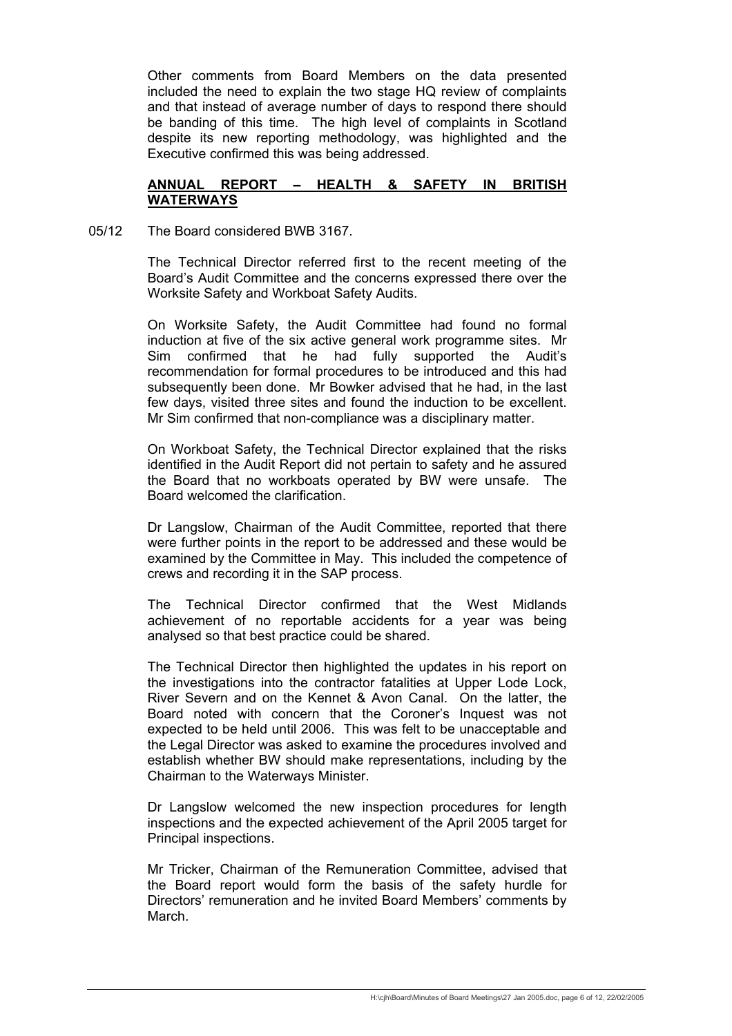Other comments from Board Members on the data presented included the need to explain the two stage HQ review of complaints and that instead of average number of days to respond there should be banding of this time. The high level of complaints in Scotland despite its new reporting methodology, was highlighted and the Executive confirmed this was being addressed.

# **ANNUAL REPORT – HEALTH & SAFETY IN BRITISH WATERWAYS**

05/12 The Board considered BWB 3167.

 The Technical Director referred first to the recent meeting of the Board's Audit Committee and the concerns expressed there over the Worksite Safety and Workboat Safety Audits.

 On Worksite Safety, the Audit Committee had found no formal induction at five of the six active general work programme sites. Mr Sim confirmed that he had fully supported the Audit's recommendation for formal procedures to be introduced and this had subsequently been done. Mr Bowker advised that he had, in the last few days, visited three sites and found the induction to be excellent. Mr Sim confirmed that non-compliance was a disciplinary matter.

 On Workboat Safety, the Technical Director explained that the risks identified in the Audit Report did not pertain to safety and he assured the Board that no workboats operated by BW were unsafe. The Board welcomed the clarification.

 Dr Langslow, Chairman of the Audit Committee, reported that there were further points in the report to be addressed and these would be examined by the Committee in May. This included the competence of crews and recording it in the SAP process.

 The Technical Director confirmed that the West Midlands achievement of no reportable accidents for a year was being analysed so that best practice could be shared.

The Technical Director then highlighted the updates in his report on the investigations into the contractor fatalities at Upper Lode Lock, River Severn and on the Kennet & Avon Canal. On the latter, the Board noted with concern that the Coroner's Inquest was not expected to be held until 2006. This was felt to be unacceptable and the Legal Director was asked to examine the procedures involved and establish whether BW should make representations, including by the Chairman to the Waterways Minister.

 Dr Langslow welcomed the new inspection procedures for length inspections and the expected achievement of the April 2005 target for Principal inspections.

 Mr Tricker, Chairman of the Remuneration Committee, advised that the Board report would form the basis of the safety hurdle for Directors' remuneration and he invited Board Members' comments by March.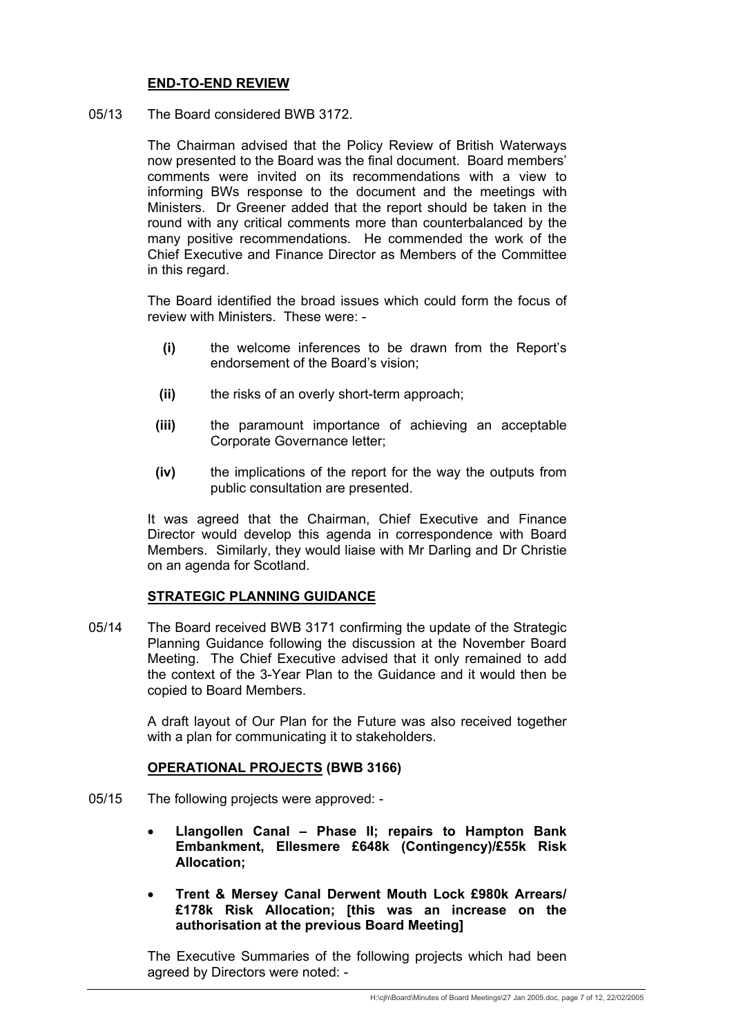# **END-TO-END REVIEW**

05/13 The Board considered BWB 3172.

 The Chairman advised that the Policy Review of British Waterways now presented to the Board was the final document. Board members' comments were invited on its recommendations with a view to informing BWs response to the document and the meetings with Ministers. Dr Greener added that the report should be taken in the round with any critical comments more than counterbalanced by the many positive recommendations. He commended the work of the Chief Executive and Finance Director as Members of the Committee in this regard.

 The Board identified the broad issues which could form the focus of review with Ministers. These were: -

- **(i)** the welcome inferences to be drawn from the Report's endorsement of the Board's vision;
- **(ii)** the risks of an overly short-term approach;
- **(iii)** the paramount importance of achieving an acceptable Corporate Governance letter;
- **(iv)** the implications of the report for the way the outputs from public consultation are presented.

 It was agreed that the Chairman, Chief Executive and Finance Director would develop this agenda in correspondence with Board Members. Similarly, they would liaise with Mr Darling and Dr Christie on an agenda for Scotland.

#### **STRATEGIC PLANNING GUIDANCE**

05/14 The Board received BWB 3171 confirming the update of the Strategic Planning Guidance following the discussion at the November Board Meeting. The Chief Executive advised that it only remained to add the context of the 3-Year Plan to the Guidance and it would then be copied to Board Members.

> A draft layout of Our Plan for the Future was also received together with a plan for communicating it to stakeholders.

#### **OPERATIONAL PROJECTS (BWB 3166)**

- 05/15 The following projects were approved:
	- **Llangollen Canal Phase II; repairs to Hampton Bank Embankment, Ellesmere £648k (Contingency)/£55k Risk Allocation;**
	- **Trent & Mersey Canal Derwent Mouth Lock £980k Arrears/ £178k Risk Allocation; [this was an increase on the authorisation at the previous Board Meeting]**

 The Executive Summaries of the following projects which had been agreed by Directors were noted: -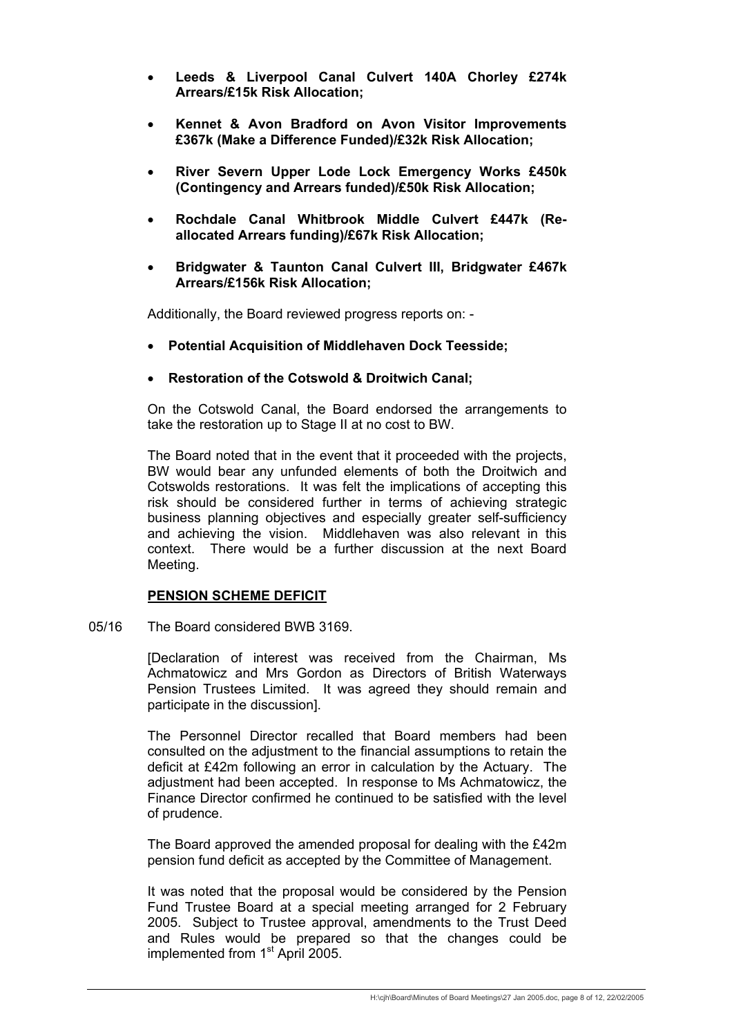- **Leeds & Liverpool Canal Culvert 140A Chorley £274k Arrears/£15k Risk Allocation;**
- **Kennet & Avon Bradford on Avon Visitor Improvements £367k (Make a Difference Funded)/£32k Risk Allocation;**
- **River Severn Upper Lode Lock Emergency Works £450k (Contingency and Arrears funded)/£50k Risk Allocation;**
- **Rochdale Canal Whitbrook Middle Culvert £447k (Reallocated Arrears funding)/£67k Risk Allocation;**
- **Bridgwater & Taunton Canal Culvert III, Bridgwater £467k Arrears/£156k Risk Allocation;**

Additionally, the Board reviewed progress reports on: -

- **Potential Acquisition of Middlehaven Dock Teesside;**
- **Restoration of the Cotswold & Droitwich Canal;**

 On the Cotswold Canal, the Board endorsed the arrangements to take the restoration up to Stage II at no cost to BW.

 The Board noted that in the event that it proceeded with the projects, BW would bear any unfunded elements of both the Droitwich and Cotswolds restorations. It was felt the implications of accepting this risk should be considered further in terms of achieving strategic business planning objectives and especially greater self-sufficiency and achieving the vision. Middlehaven was also relevant in this context. There would be a further discussion at the next Board Meeting.

#### **PENSION SCHEME DEFICIT**

05/16 The Board considered BWB 3169.

 [Declaration of interest was received from the Chairman, Ms Achmatowicz and Mrs Gordon as Directors of British Waterways Pension Trustees Limited. It was agreed they should remain and participate in the discussion].

 The Personnel Director recalled that Board members had been consulted on the adjustment to the financial assumptions to retain the deficit at £42m following an error in calculation by the Actuary. The adjustment had been accepted. In response to Ms Achmatowicz, the Finance Director confirmed he continued to be satisfied with the level of prudence.

 The Board approved the amended proposal for dealing with the £42m pension fund deficit as accepted by the Committee of Management.

 It was noted that the proposal would be considered by the Pension Fund Trustee Board at a special meeting arranged for 2 February 2005. Subject to Trustee approval, amendments to the Trust Deed and Rules would be prepared so that the changes could be implemented from 1<sup>st</sup> April 2005.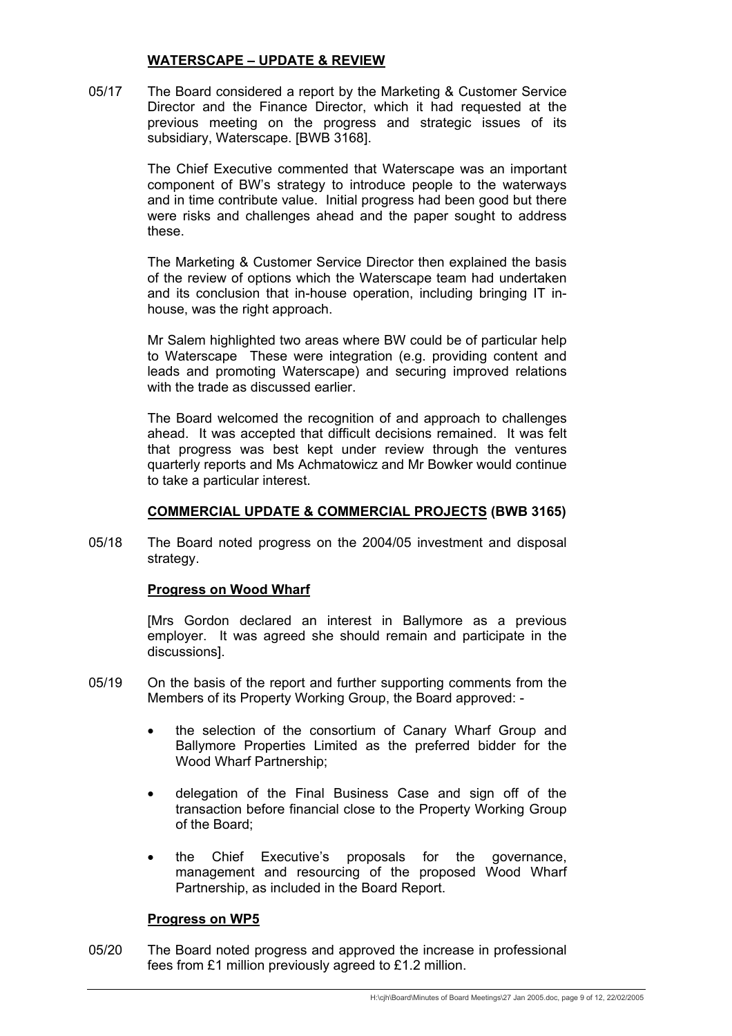# **WATERSCAPE – UPDATE & REVIEW**

05/17 The Board considered a report by the Marketing & Customer Service Director and the Finance Director, which it had requested at the previous meeting on the progress and strategic issues of its subsidiary, Waterscape. [BWB 3168].

> The Chief Executive commented that Waterscape was an important component of BW's strategy to introduce people to the waterways and in time contribute value. Initial progress had been good but there were risks and challenges ahead and the paper sought to address these.

> The Marketing & Customer Service Director then explained the basis of the review of options which the Waterscape team had undertaken and its conclusion that in-house operation, including bringing IT inhouse, was the right approach.

> Mr Salem highlighted two areas where BW could be of particular help to Waterscape These were integration (e.g. providing content and leads and promoting Waterscape) and securing improved relations with the trade as discussed earlier.

> The Board welcomed the recognition of and approach to challenges ahead. It was accepted that difficult decisions remained. It was felt that progress was best kept under review through the ventures quarterly reports and Ms Achmatowicz and Mr Bowker would continue to take a particular interest.

### **COMMERCIAL UPDATE & COMMERCIAL PROJECTS (BWB 3165)**

05/18 The Board noted progress on the 2004/05 investment and disposal strategy.

#### **Progress on Wood Wharf**

 [Mrs Gordon declared an interest in Ballymore as a previous employer. It was agreed she should remain and participate in the discussions].

- 05/19 On the basis of the report and further supporting comments from the Members of its Property Working Group, the Board approved: -
	- the selection of the consortium of Canary Wharf Group and Ballymore Properties Limited as the preferred bidder for the Wood Wharf Partnership;
	- delegation of the Final Business Case and sign off of the transaction before financial close to the Property Working Group of the Board;
	- the Chief Executive's proposals for the governance, management and resourcing of the proposed Wood Wharf Partnership, as included in the Board Report.

#### **Progress on WP5**

05/20 The Board noted progress and approved the increase in professional fees from £1 million previously agreed to £1.2 million.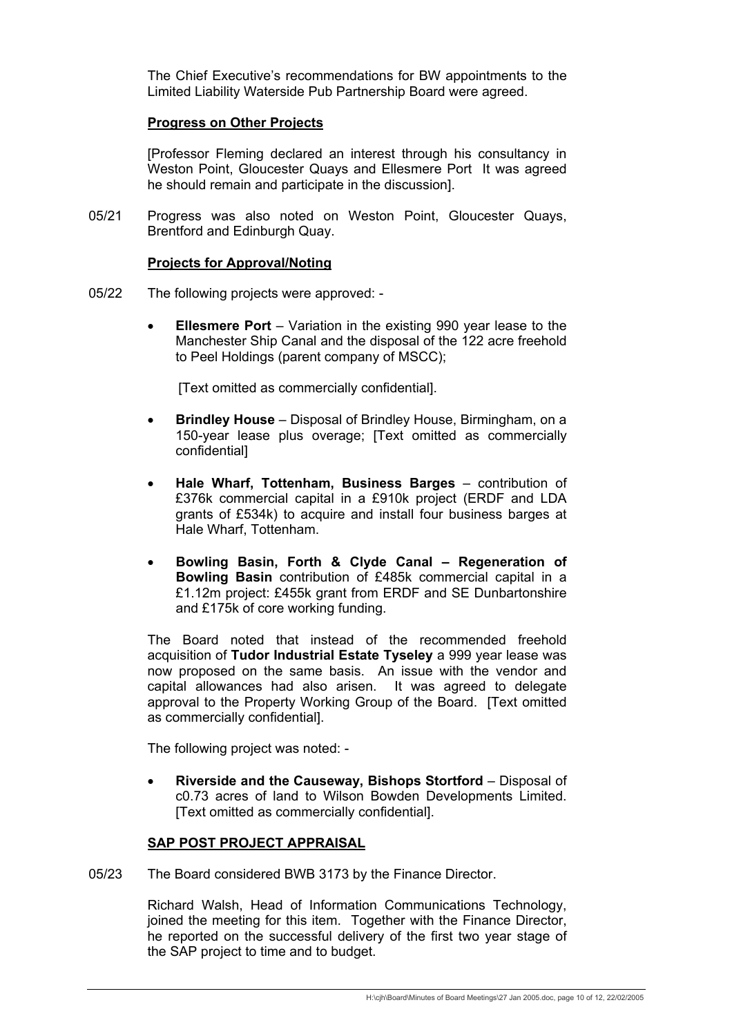The Chief Executive's recommendations for BW appointments to the Limited Liability Waterside Pub Partnership Board were agreed.

### **Progress on Other Projects**

 [Professor Fleming declared an interest through his consultancy in Weston Point, Gloucester Quays and Ellesmere Port It was agreed he should remain and participate in the discussion].

05/21 Progress was also noted on Weston Point, Gloucester Quays, Brentford and Edinburgh Quay.

#### **Projects for Approval/Noting**

- 05/22 The following projects were approved:
	- **Ellesmere Port** Variation in the existing 990 year lease to the Manchester Ship Canal and the disposal of the 122 acre freehold to Peel Holdings (parent company of MSCC);

[Text omitted as commercially confidential].

- **Brindley House** Disposal of Brindley House, Birmingham, on a 150-year lease plus overage; [Text omitted as commercially confidential]
- **Hale Wharf, Tottenham, Business Barges** contribution of £376k commercial capital in a £910k project (ERDF and LDA grants of £534k) to acquire and install four business barges at Hale Wharf, Tottenham.
- **Bowling Basin, Forth & Clyde Canal Regeneration of Bowling Basin** contribution of £485k commercial capital in a £1.12m project: £455k grant from ERDF and SE Dunbartonshire and £175k of core working funding.

 The Board noted that instead of the recommended freehold acquisition of **Tudor Industrial Estate Tyseley** a 999 year lease was now proposed on the same basis. An issue with the vendor and capital allowances had also arisen. It was agreed to delegate approval to the Property Working Group of the Board. [Text omitted as commercially confidential].

The following project was noted: -

• **Riverside and the Causeway, Bishops Stortford** – Disposal of c0.73 acres of land to Wilson Bowden Developments Limited. [Text omitted as commercially confidential].

### **SAP POST PROJECT APPRAISAL**

05/23 The Board considered BWB 3173 by the Finance Director.

 Richard Walsh, Head of Information Communications Technology, joined the meeting for this item. Together with the Finance Director, he reported on the successful delivery of the first two year stage of the SAP project to time and to budget.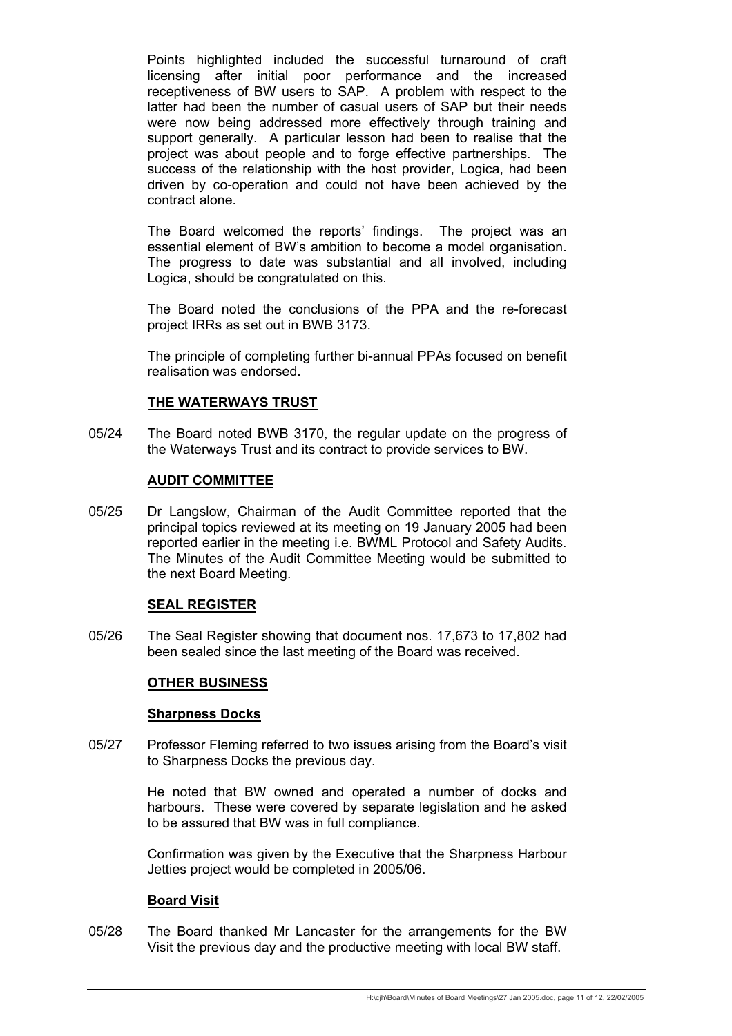Points highlighted included the successful turnaround of craft licensing after initial poor performance and the increased receptiveness of BW users to SAP. A problem with respect to the latter had been the number of casual users of SAP but their needs were now being addressed more effectively through training and support generally. A particular lesson had been to realise that the project was about people and to forge effective partnerships. The success of the relationship with the host provider. Logica, had been driven by co-operation and could not have been achieved by the contract alone.

 The Board welcomed the reports' findings. The project was an essential element of BW's ambition to become a model organisation. The progress to date was substantial and all involved, including Logica, should be congratulated on this.

 The Board noted the conclusions of the PPA and the re-forecast project IRRs as set out in BWB 3173.

 The principle of completing further bi-annual PPAs focused on benefit realisation was endorsed.

### **THE WATERWAYS TRUST**

05/24 The Board noted BWB 3170, the regular update on the progress of the Waterways Trust and its contract to provide services to BW.

### **AUDIT COMMITTEE**

05/25 Dr Langslow, Chairman of the Audit Committee reported that the principal topics reviewed at its meeting on 19 January 2005 had been reported earlier in the meeting i.e. BWML Protocol and Safety Audits. The Minutes of the Audit Committee Meeting would be submitted to the next Board Meeting.

#### **SEAL REGISTER**

05/26 The Seal Register showing that document nos. 17,673 to 17,802 had been sealed since the last meeting of the Board was received.

# **OTHER BUSINESS**

#### **Sharpness Docks**

05/27 Professor Fleming referred to two issues arising from the Board's visit to Sharpness Docks the previous day.

> He noted that BW owned and operated a number of docks and harbours. These were covered by separate legislation and he asked to be assured that BW was in full compliance.

> Confirmation was given by the Executive that the Sharpness Harbour Jetties project would be completed in 2005/06.

#### **Board Visit**

05/28 The Board thanked Mr Lancaster for the arrangements for the BW Visit the previous day and the productive meeting with local BW staff.